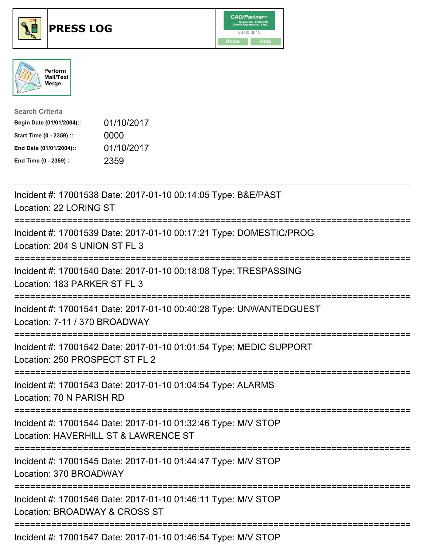

## **PRESS LOG** v8.00.0013





| <b>Search Criteria</b>    |            |
|---------------------------|------------|
| Begin Date (01/01/2004):: | 01/10/2017 |
| Start Time (0 - 2359) ::  | 0000       |
| End Date (01/01/2004)::   | 01/10/2017 |
| End Time (0 - 2359) ::    | 2359       |

Incident #: 17001538 Date: 2017-01-10 00:14:05 Type: B&E/PAST Location: 22 LORING ST =========================================================================== Incident #: 17001539 Date: 2017-01-10 00:17:21 Type: DOMESTIC/PROG Location: 204 S UNION ST FL 3 =========================================================================== Incident #: 17001540 Date: 2017-01-10 00:18:08 Type: TRESPASSING Location: 183 PARKER ST FL 3 =========================================================================== Incident #: 17001541 Date: 2017-01-10 00:40:28 Type: UNWANTEDGUEST Location: 7-11 / 370 BROADWAY =========================================================================== Incident #: 17001542 Date: 2017-01-10 01:01:54 Type: MEDIC SUPPORT Location: 250 PROSPECT ST FL 2 =========================================================================== Incident #: 17001543 Date: 2017-01-10 01:04:54 Type: ALARMS Location: 70 N PARISH RD =========================================================================== Incident #: 17001544 Date: 2017-01-10 01:32:46 Type: M/V STOP Location: HAVERHILL ST & LAWRENCE ST =========================================================================== Incident #: 17001545 Date: 2017-01-10 01:44:47 Type: M/V STOP Location: 370 BROADWAY =========================================================================== Incident #: 17001546 Date: 2017-01-10 01:46:11 Type: M/V STOP Location: BROADWAY & CROSS ST =========================================================================== Incident #: 17001547 Date: 2017-01-10 01:46:54 Type: M/V STOP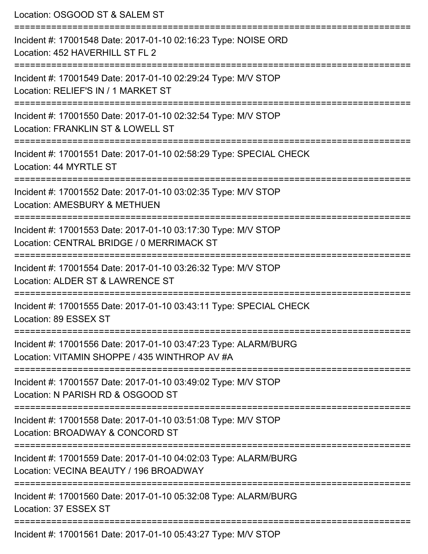| Location: OSGOOD ST & SALEM ST                                                                                                                   |
|--------------------------------------------------------------------------------------------------------------------------------------------------|
| Incident #: 17001548 Date: 2017-01-10 02:16:23 Type: NOISE ORD<br>Location: 452 HAVERHILL ST FL 2                                                |
| Incident #: 17001549 Date: 2017-01-10 02:29:24 Type: M/V STOP<br>Location: RELIEF'S IN / 1 MARKET ST                                             |
| Incident #: 17001550 Date: 2017-01-10 02:32:54 Type: M/V STOP<br>Location: FRANKLIN ST & LOWELL ST                                               |
| :=========================<br>Incident #: 17001551 Date: 2017-01-10 02:58:29 Type: SPECIAL CHECK<br>Location: 44 MYRTLE ST                       |
| Incident #: 17001552 Date: 2017-01-10 03:02:35 Type: M/V STOP<br>Location: AMESBURY & METHUEN                                                    |
| :=================================<br>Incident #: 17001553 Date: 2017-01-10 03:17:30 Type: M/V STOP<br>Location: CENTRAL BRIDGE / 0 MERRIMACK ST |
| Incident #: 17001554 Date: 2017-01-10 03:26:32 Type: M/V STOP<br>Location: ALDER ST & LAWRENCE ST                                                |
| Incident #: 17001555 Date: 2017-01-10 03:43:11 Type: SPECIAL CHECK<br>Location: 89 ESSEX ST                                                      |
| Incident #: 17001556 Date: 2017-01-10 03:47:23 Type: ALARM/BURG<br>Location: VITAMIN SHOPPE / 435 WINTHROP AV #A                                 |
| Incident #: 17001557 Date: 2017-01-10 03:49:02 Type: M/V STOP<br>Location: N PARISH RD & OSGOOD ST                                               |
| Incident #: 17001558 Date: 2017-01-10 03:51:08 Type: M/V STOP<br>Location: BROADWAY & CONCORD ST                                                 |
| :===================<br>Incident #: 17001559 Date: 2017-01-10 04:02:03 Type: ALARM/BURG<br>Location: VECINA BEAUTY / 196 BROADWAY                |
| Incident #: 17001560 Date: 2017-01-10 05:32:08 Type: ALARM/BURG<br>Location: 37 ESSEX ST                                                         |
| ====================<br>Incident #: 17001561 Date: 2017-01-10 05:43:27 Type: M/V STOP                                                            |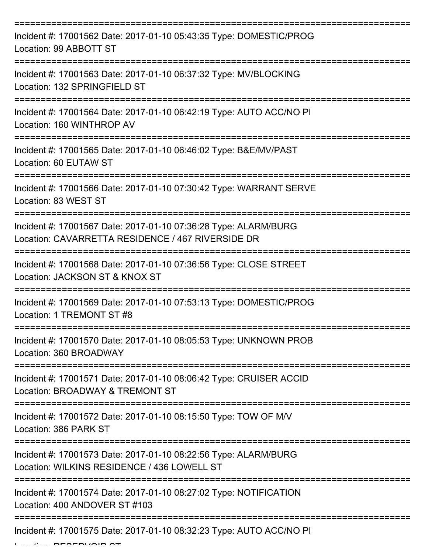| Incident #: 17001562 Date: 2017-01-10 05:43:35 Type: DOMESTIC/PROG<br>Location: 99 ABBOTT ST                         |
|----------------------------------------------------------------------------------------------------------------------|
| Incident #: 17001563 Date: 2017-01-10 06:37:32 Type: MV/BLOCKING<br>Location: 132 SPRINGFIELD ST                     |
| Incident #: 17001564 Date: 2017-01-10 06:42:19 Type: AUTO ACC/NO PI<br>Location: 160 WINTHROP AV                     |
| Incident #: 17001565 Date: 2017-01-10 06:46:02 Type: B&E/MV/PAST<br>Location: 60 EUTAW ST                            |
| Incident #: 17001566 Date: 2017-01-10 07:30:42 Type: WARRANT SERVE<br>Location: 83 WEST ST                           |
| Incident #: 17001567 Date: 2017-01-10 07:36:28 Type: ALARM/BURG<br>Location: CAVARRETTA RESIDENCE / 467 RIVERSIDE DR |
| Incident #: 17001568 Date: 2017-01-10 07:36:56 Type: CLOSE STREET<br>Location: JACKSON ST & KNOX ST                  |
| Incident #: 17001569 Date: 2017-01-10 07:53:13 Type: DOMESTIC/PROG<br>Location: 1 TREMONT ST #8                      |
| Incident #: 17001570 Date: 2017-01-10 08:05:53 Type: UNKNOWN PROB<br>Location: 360 BROADWAY                          |
| Incident #: 17001571 Date: 2017-01-10 08:06:42 Type: CRUISER ACCID<br>Location: BROADWAY & TREMONT ST                |
| Incident #: 17001572 Date: 2017-01-10 08:15:50 Type: TOW OF M/V<br>Location: 386 PARK ST                             |
| Incident #: 17001573 Date: 2017-01-10 08:22:56 Type: ALARM/BURG<br>Location: WILKINS RESIDENCE / 436 LOWELL ST       |
| Incident #: 17001574 Date: 2017-01-10 08:27:02 Type: NOTIFICATION<br>Location: 400 ANDOVER ST #103                   |
| Incident #: 17001575 Date: 2017-01-10 08:32:23 Type: AUTO ACC/NO PI                                                  |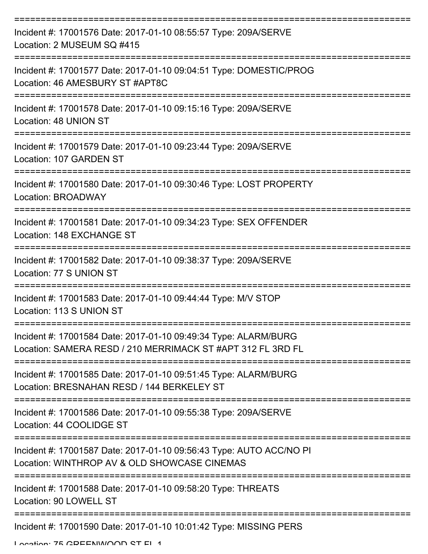| Incident #: 17001576 Date: 2017-01-10 08:55:57 Type: 209A/SERVE<br>Location: 2 MUSEUM SQ #415                                  |
|--------------------------------------------------------------------------------------------------------------------------------|
| Incident #: 17001577 Date: 2017-01-10 09:04:51 Type: DOMESTIC/PROG<br>Location: 46 AMESBURY ST #APT8C                          |
| Incident #: 17001578 Date: 2017-01-10 09:15:16 Type: 209A/SERVE<br>Location: 48 UNION ST                                       |
| Incident #: 17001579 Date: 2017-01-10 09:23:44 Type: 209A/SERVE<br>Location: 107 GARDEN ST                                     |
| Incident #: 17001580 Date: 2017-01-10 09:30:46 Type: LOST PROPERTY<br><b>Location: BROADWAY</b>                                |
| Incident #: 17001581 Date: 2017-01-10 09:34:23 Type: SEX OFFENDER<br>Location: 148 EXCHANGE ST                                 |
| Incident #: 17001582 Date: 2017-01-10 09:38:37 Type: 209A/SERVE<br>Location: 77 S UNION ST                                     |
| Incident #: 17001583 Date: 2017-01-10 09:44:44 Type: M/V STOP<br>Location: 113 S UNION ST                                      |
| Incident #: 17001584 Date: 2017-01-10 09:49:34 Type: ALARM/BURG<br>Location: SAMERA RESD / 210 MERRIMACK ST #APT 312 FL 3RD FL |
| Incident #: 17001585 Date: 2017-01-10 09:51:45 Type: ALARM/BURG<br>Location: BRESNAHAN RESD / 144 BERKELEY ST                  |
| Incident #: 17001586 Date: 2017-01-10 09:55:38 Type: 209A/SERVE<br>Location: 44 COOLIDGE ST                                    |
| Incident #: 17001587 Date: 2017-01-10 09:56:43 Type: AUTO ACC/NO PI<br>Location: WINTHROP AV & OLD SHOWCASE CINEMAS            |
| Incident #: 17001588 Date: 2017-01-10 09:58:20 Type: THREATS<br>Location: 90 LOWELL ST                                         |
| Incident #: 17001590 Date: 2017-01-10 10:01:42 Type: MISSING PERS                                                              |

Location: 75 GDEENWOOD ST EL 1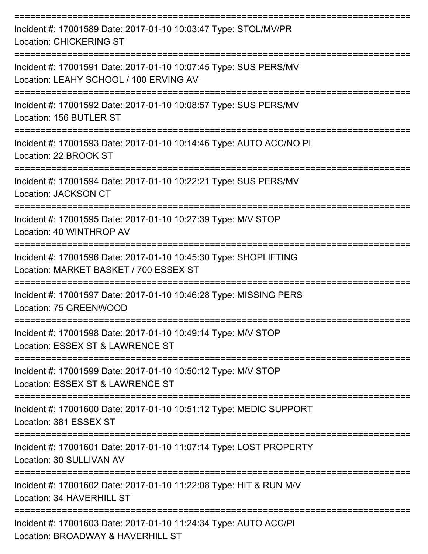| Incident #: 17001589 Date: 2017-01-10 10:03:47 Type: STOL/MV/PR<br><b>Location: CHICKERING ST</b>          |
|------------------------------------------------------------------------------------------------------------|
| Incident #: 17001591 Date: 2017-01-10 10:07:45 Type: SUS PERS/MV<br>Location: LEAHY SCHOOL / 100 ERVING AV |
| Incident #: 17001592 Date: 2017-01-10 10:08:57 Type: SUS PERS/MV<br>Location: 156 BUTLER ST                |
| Incident #: 17001593 Date: 2017-01-10 10:14:46 Type: AUTO ACC/NO PI<br>Location: 22 BROOK ST               |
| Incident #: 17001594 Date: 2017-01-10 10:22:21 Type: SUS PERS/MV<br>Location: JACKSON CT                   |
| Incident #: 17001595 Date: 2017-01-10 10:27:39 Type: M/V STOP<br>Location: 40 WINTHROP AV                  |
| Incident #: 17001596 Date: 2017-01-10 10:45:30 Type: SHOPLIFTING<br>Location: MARKET BASKET / 700 ESSEX ST |
| Incident #: 17001597 Date: 2017-01-10 10:46:28 Type: MISSING PERS<br>Location: 75 GREENWOOD                |
| Incident #: 17001598 Date: 2017-01-10 10:49:14 Type: M/V STOP<br>Location: ESSEX ST & LAWRENCE ST          |
| Incident #: 17001599 Date: 2017-01-10 10:50:12 Type: M/V STOP<br>Location: ESSEX ST & LAWRENCE ST          |
| Incident #: 17001600 Date: 2017-01-10 10:51:12 Type: MEDIC SUPPORT<br>Location: 381 ESSEX ST               |
| Incident #: 17001601 Date: 2017-01-10 11:07:14 Type: LOST PROPERTY<br>Location: 30 SULLIVAN AV             |
| Incident #: 17001602 Date: 2017-01-10 11:22:08 Type: HIT & RUN M/V<br>Location: 34 HAVERHILL ST            |
| Incident #: 17001603 Date: 2017-01-10 11:24:34 Type: AUTO ACC/PI<br>Location: BROADWAY & HAVERHILL ST      |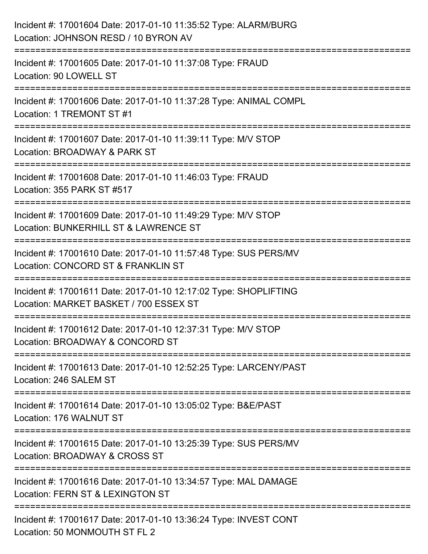| Incident #: 17001604 Date: 2017-01-10 11:35:52 Type: ALARM/BURG<br>Location: JOHNSON RESD / 10 BYRON AV                                                        |
|----------------------------------------------------------------------------------------------------------------------------------------------------------------|
| :========================<br>=========<br>:===========================<br>Incident #: 17001605 Date: 2017-01-10 11:37:08 Type: FRAUD<br>Location: 90 LOWELL ST |
| Incident #: 17001606 Date: 2017-01-10 11:37:28 Type: ANIMAL COMPL<br>Location: 1 TREMONT ST #1                                                                 |
| Incident #: 17001607 Date: 2017-01-10 11:39:11 Type: M/V STOP<br>Location: BROADWAY & PARK ST                                                                  |
| ====================<br>Incident #: 17001608 Date: 2017-01-10 11:46:03 Type: FRAUD<br>Location: 355 PARK ST #517                                               |
| Incident #: 17001609 Date: 2017-01-10 11:49:29 Type: M/V STOP<br>Location: BUNKERHILL ST & LAWRENCE ST                                                         |
| :==================<br>Incident #: 17001610 Date: 2017-01-10 11:57:48 Type: SUS PERS/MV<br>Location: CONCORD ST & FRANKLIN ST                                  |
| Incident #: 17001611 Date: 2017-01-10 12:17:02 Type: SHOPLIFTING<br>Location: MARKET BASKET / 700 ESSEX ST                                                     |
| Incident #: 17001612 Date: 2017-01-10 12:37:31 Type: M/V STOP<br>Location: BROADWAY & CONCORD ST                                                               |
| Incident #: 17001613 Date: 2017-01-10 12:52:25 Type: LARCENY/PAST<br>Location: 246 SALEM ST                                                                    |
| Incident #: 17001614 Date: 2017-01-10 13:05:02 Type: B&E/PAST<br>Location: 176 WALNUT ST                                                                       |
| Incident #: 17001615 Date: 2017-01-10 13:25:39 Type: SUS PERS/MV<br>Location: BROADWAY & CROSS ST                                                              |
| Incident #: 17001616 Date: 2017-01-10 13:34:57 Type: MAL DAMAGE<br>Location: FERN ST & LEXINGTON ST                                                            |
| Incident #: 17001617 Date: 2017-01-10 13:36:24 Type: INVEST CONT<br>Location: 50 MONMOUTH ST FL 2                                                              |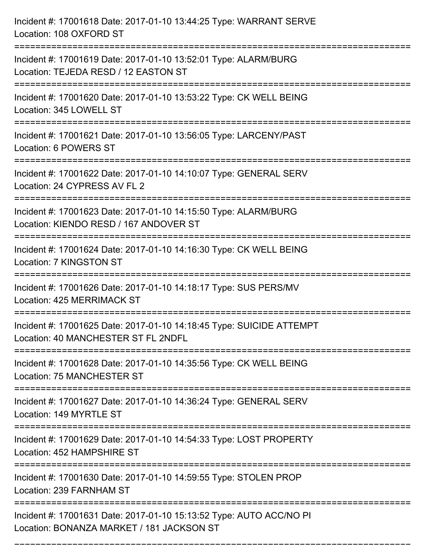| Incident #: 17001618 Date: 2017-01-10 13:44:25 Type: WARRANT SERVE<br>Location: 108 OXFORD ST                                                              |
|------------------------------------------------------------------------------------------------------------------------------------------------------------|
| Incident #: 17001619 Date: 2017-01-10 13:52:01 Type: ALARM/BURG<br>Location: TEJEDA RESD / 12 EASTON ST                                                    |
| Incident #: 17001620 Date: 2017-01-10 13:53:22 Type: CK WELL BEING<br>Location: 345 LOWELL ST                                                              |
| Incident #: 17001621 Date: 2017-01-10 13:56:05 Type: LARCENY/PAST<br>Location: 6 POWERS ST                                                                 |
| Incident #: 17001622 Date: 2017-01-10 14:10:07 Type: GENERAL SERV<br>Location: 24 CYPRESS AV FL 2                                                          |
| Incident #: 17001623 Date: 2017-01-10 14:15:50 Type: ALARM/BURG<br>Location: KIENDO RESD / 167 ANDOVER ST                                                  |
| Incident #: 17001624 Date: 2017-01-10 14:16:30 Type: CK WELL BEING<br>Location: 7 KINGSTON ST<br>-------------                                             |
| Incident #: 17001626 Date: 2017-01-10 14:18:17 Type: SUS PERS/MV<br>Location: 425 MERRIMACK ST                                                             |
| Incident #: 17001625 Date: 2017-01-10 14:18:45 Type: SUICIDE ATTEMPT<br>Location: 40 MANCHESTER ST FL 2NDFL                                                |
| Incident #: 17001628 Date: 2017-01-10 14:35:56 Type: CK WELL BEING<br>Location: 75 MANCHESTER ST<br>------------------------------------                   |
| Incident #: 17001627 Date: 2017-01-10 14:36:24 Type: GENERAL SERV<br>Location: 149 MYRTLE ST                                                               |
| Incident #: 17001629 Date: 2017-01-10 14:54:33 Type: LOST PROPERTY<br>Location: 452 HAMPSHIRE ST                                                           |
| Incident #: 17001630 Date: 2017-01-10 14:59:55 Type: STOLEN PROP<br>Location: 239 FARNHAM ST                                                               |
| ======================================<br>Incident #: 17001631 Date: 2017-01-10 15:13:52 Type: AUTO ACC/NO PI<br>Location: BONANZA MARKET / 181 JACKSON ST |

===========================================================================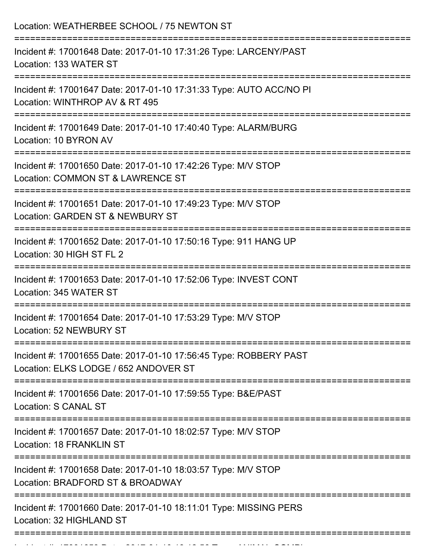| Location: WEATHERBEE SCHOOL / 75 NEWTON ST                                                                   |
|--------------------------------------------------------------------------------------------------------------|
| Incident #: 17001648 Date: 2017-01-10 17:31:26 Type: LARCENY/PAST<br>Location: 133 WATER ST                  |
| Incident #: 17001647 Date: 2017-01-10 17:31:33 Type: AUTO ACC/NO PI<br>Location: WINTHROP AV & RT 495        |
| Incident #: 17001649 Date: 2017-01-10 17:40:40 Type: ALARM/BURG<br>Location: 10 BYRON AV<br>---------------- |
| Incident #: 17001650 Date: 2017-01-10 17:42:26 Type: M/V STOP<br>Location: COMMON ST & LAWRENCE ST           |
| Incident #: 17001651 Date: 2017-01-10 17:49:23 Type: M/V STOP<br>Location: GARDEN ST & NEWBURY ST            |
| Incident #: 17001652 Date: 2017-01-10 17:50:16 Type: 911 HANG UP<br>Location: 30 HIGH ST FL 2                |
| Incident #: 17001653 Date: 2017-01-10 17:52:06 Type: INVEST CONT<br>Location: 345 WATER ST                   |
| Incident #: 17001654 Date: 2017-01-10 17:53:29 Type: M/V STOP<br>Location: 52 NEWBURY ST                     |
| Incident #: 17001655 Date: 2017-01-10 17:56:45 Type: ROBBERY PAST<br>Location: ELKS LODGE / 652 ANDOVER ST   |
| Incident #: 17001656 Date: 2017-01-10 17:59:55 Type: B&E/PAST<br>Location: S CANAL ST                        |
| Incident #: 17001657 Date: 2017-01-10 18:02:57 Type: M/V STOP<br>Location: 18 FRANKLIN ST                    |
| Incident #: 17001658 Date: 2017-01-10 18:03:57 Type: M/V STOP<br>Location: BRADFORD ST & BROADWAY            |
| Incident #: 17001660 Date: 2017-01-10 18:11:01 Type: MISSING PERS<br>Location: 32 HIGHLAND ST                |

Incident #: 17001659 Date: 2017 01 10 18:12:56 Type: ANIMAL COMPL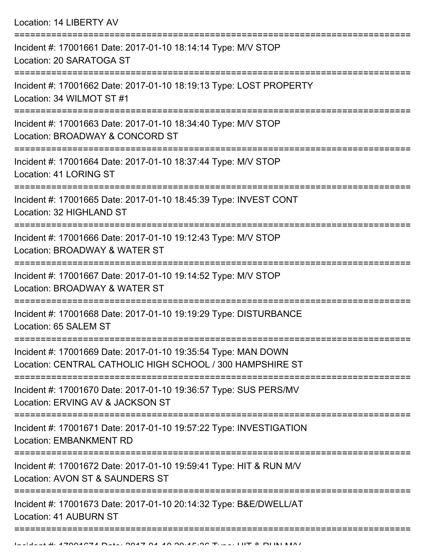| Location: 14 LIBERTY AV                                                                                                    |
|----------------------------------------------------------------------------------------------------------------------------|
| Incident #: 17001661 Date: 2017-01-10 18:14:14 Type: M/V STOP<br>Location: 20 SARATOGA ST                                  |
| Incident #: 17001662 Date: 2017-01-10 18:19:13 Type: LOST PROPERTY<br>Location: 34 WILMOT ST #1                            |
| Incident #: 17001663 Date: 2017-01-10 18:34:40 Type: M/V STOP<br>Location: BROADWAY & CONCORD ST<br>:===================== |
| Incident #: 17001664 Date: 2017-01-10 18:37:44 Type: M/V STOP<br>Location: 41 LORING ST                                    |
| Incident #: 17001665 Date: 2017-01-10 18:45:39 Type: INVEST CONT<br>Location: 32 HIGHLAND ST                               |
| Incident #: 17001666 Date: 2017-01-10 19:12:43 Type: M/V STOP<br>Location: BROADWAY & WATER ST                             |
| Incident #: 17001667 Date: 2017-01-10 19:14:52 Type: M/V STOP<br>Location: BROADWAY & WATER ST                             |
| Incident #: 17001668 Date: 2017-01-10 19:19:29 Type: DISTURBANCE<br>Location: 65 SALEM ST                                  |
| Incident #: 17001669 Date: 2017-01-10 19:35:54 Type: MAN DOWN<br>Location: CENTRAL CATHOLIC HIGH SCHOOL / 300 HAMPSHIRE ST |
| Incident #: 17001670 Date: 2017-01-10 19:36:57 Type: SUS PERS/MV<br>Location: ERVING AV & JACKSON ST                       |
| Incident #: 17001671 Date: 2017-01-10 19:57:22 Type: INVESTIGATION<br><b>Location: EMBANKMENT RD</b>                       |
| Incident #: 17001672 Date: 2017-01-10 19:59:41 Type: HIT & RUN M/V<br>Location: AVON ST & SAUNDERS ST                      |
| Incident #: 17001673 Date: 2017-01-10 20:14:32 Type: B&E/DWELL/AT<br>Location: 41 AUBURN ST                                |
|                                                                                                                            |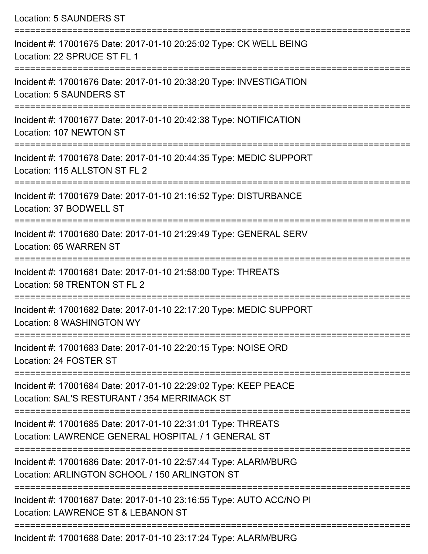Location: 5 SAUNDERS ST

| Incident #: 17001675 Date: 2017-01-10 20:25:02 Type: CK WELL BEING<br>Location: 22 SPRUCE ST FL 1                  |
|--------------------------------------------------------------------------------------------------------------------|
| Incident #: 17001676 Date: 2017-01-10 20:38:20 Type: INVESTIGATION<br><b>Location: 5 SAUNDERS ST</b>               |
| Incident #: 17001677 Date: 2017-01-10 20:42:38 Type: NOTIFICATION<br>Location: 107 NEWTON ST                       |
| Incident #: 17001678 Date: 2017-01-10 20:44:35 Type: MEDIC SUPPORT<br>Location: 115 ALLSTON ST FL 2                |
| Incident #: 17001679 Date: 2017-01-10 21:16:52 Type: DISTURBANCE<br>Location: 37 BODWELL ST                        |
| Incident #: 17001680 Date: 2017-01-10 21:29:49 Type: GENERAL SERV<br>Location: 65 WARREN ST                        |
| Incident #: 17001681 Date: 2017-01-10 21:58:00 Type: THREATS<br>Location: 58 TRENTON ST FL 2                       |
| Incident #: 17001682 Date: 2017-01-10 22:17:20 Type: MEDIC SUPPORT<br>Location: 8 WASHINGTON WY                    |
| Incident #: 17001683 Date: 2017-01-10 22:20:15 Type: NOISE ORD<br>Location: 24 FOSTER ST                           |
| Incident #: 17001684 Date: 2017-01-10 22:29:02 Type: KEEP PEACE<br>Location: SAL'S RESTURANT / 354 MERRIMACK ST    |
| Incident #: 17001685 Date: 2017-01-10 22:31:01 Type: THREATS<br>Location: LAWRENCE GENERAL HOSPITAL / 1 GENERAL ST |
| Incident #: 17001686 Date: 2017-01-10 22:57:44 Type: ALARM/BURG<br>Location: ARLINGTON SCHOOL / 150 ARLINGTON ST   |
| Incident #: 17001687 Date: 2017-01-10 23:16:55 Type: AUTO ACC/NO PI<br>Location: LAWRENCE ST & LEBANON ST          |
|                                                                                                                    |